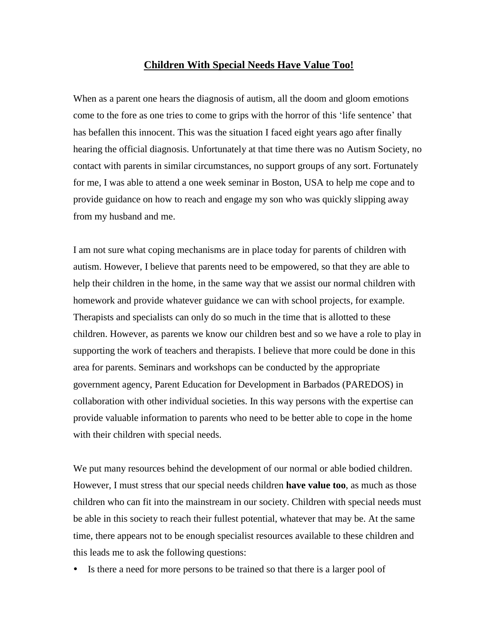## **Children With Special Needs Have Value Too!**

When as a parent one hears the diagnosis of autism, all the doom and gloom emotions come to the fore as one tries to come to grips with the horror of this 'life sentence' that has befallen this innocent. This was the situation I faced eight years ago after finally hearing the official diagnosis. Unfortunately at that time there was no Autism Society, no contact with parents in similar circumstances, no support groups of any sort. Fortunately for me, I was able to attend a one week seminar in Boston, USA to help me cope and to provide guidance on how to reach and engage my son who was quickly slipping away from my husband and me.

I am not sure what coping mechanisms are in place today for parents of children with autism. However, I believe that parents need to be empowered, so that they are able to help their children in the home, in the same way that we assist our normal children with homework and provide whatever guidance we can with school projects, for example. Therapists and specialists can only do so much in the time that is allotted to these children. However, as parents we know our children best and so we have a role to play in supporting the work of teachers and therapists. I believe that more could be done in this area for parents. Seminars and workshops can be conducted by the appropriate government agency, Parent Education for Development in Barbados (PAREDOS) in collaboration with other individual societies. In this way persons with the expertise can provide valuable information to parents who need to be better able to cope in the home with their children with special needs.

We put many resources behind the development of our normal or able bodied children. However, I must stress that our special needs children **have value too**, as much as those children who can fit into the mainstream in our society. Children with special needs must be able in this society to reach their fullest potential, whatever that may be. At the same time, there appears not to be enough specialist resources available to these children and this leads me to ask the following questions:

Is there a need for more persons to be trained so that there is a larger pool of